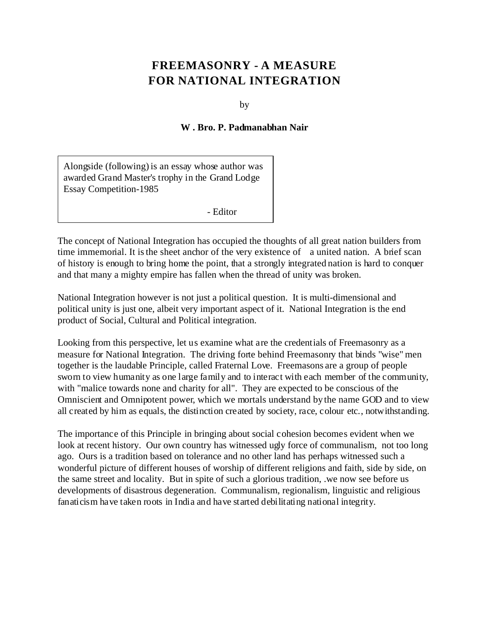## **FREEMASONRY - A MEASURE FOR NATIONAL INTEGRATION**

by

## **W . Bro. P. Padmanabhan Nair**

Alongside (following) is an essay whose author was awarded Grand Master's trophy in the Grand Lodge Essay Competition-1985

- Editor

The concept of National Integration has occupied the thoughts of all great nation builders from time immemorial. It is the sheet anchor of the very existence of a united nation. A brief scan of history is enough to bring home the point, that a strongly integrated nation is hard to conquer and that many a mighty empire has fallen when the thread of unity was broken.

National Integration however is not just a political question. It is multi-dimensional and political unity is just one, albeit very important aspect of it. National Integration is the end product of Social, Cultural and Political integration.

Looking from this perspective, let us examine what are the credentials of Freemasonry as a measure for National Integration. The driving forte behind Freemasonry that binds "wise" men together is the laudable Principle, called Fraternal Love. Freemasons are a group of people sworn to view humanity as one large family and to interact with each member of the community, with "malice towards none and charity for all". They are expected to be conscious of the Omniscient and Omnipotent power, which we mortals understand by the name GOD and to view all created by him as equals, the distinction created by society, race, colour etc., notwithstanding.

The importance of this Principle in bringing about social cohesion becomes evident when we look at recent history. Our own country has witnessed ugly force of communalism, not too long ago. Ours is a tradition based on tolerance and no other land has perhaps witnessed such a wonderful picture of different houses of worship of different religions and faith, side by side, on the same street and locality. But in spite of such a glorious tradition, .we now see before us developments of disastrous degeneration. Communalism, regionalism, linguistic and religious fanaticism have taken roots in India and have started debilitating national integrity.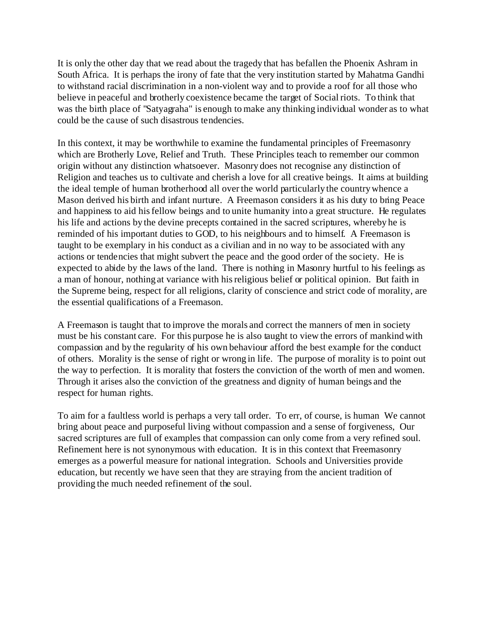It is only the other day that we read about the tragedy that has befallen the Phoenix Ashram in South Africa. It is perhaps the irony of fate that the very institution started by Mahatma Gandhi to withstand racial discrimination in a non-violent way and to provide a roof for all those who believe in peaceful and brotherly coexistence became the target of Social riots. To think that was the birth place of "Satyagraha" is enough to make any thinking individual wonder as to what could be the cause of such disastrous tendencies.

In this context, it may be worthwhile to examine the fundamental principles of Freemasonry which are Brotherly Love, Relief and Truth. These Principles teach to remember our common origin without any distinction whatsoever. Masonry does not recognise any distinction of Religion and teaches us to cultivate and cherish a love for all creative beings. It aims at building the ideal temple of human brotherhood all over the world particularly the country whence a Mason derived his birth and infant nurture. A Freemason considers it as his duty to bring Peace and happiness to aid his fellow beings and to unite humanity into a great structure. He regulates his life and actions by the devine precepts contained in the sacred scriptures, whereby he is reminded of his important duties to GOD, to his neighbours and to himself. A Freemason is taught to be exemplary in his conduct as a civilian and in no way to be associated with any actions or tendencies that might subvert the peace and the good order of the society. He is expected to abide by the laws of the land. There is nothing in Masonry hurtful to his feelings as a man of honour, nothing at variance with his religious belief or political opinion. But faith in the Supreme being, respect for all religions, clarity of conscience and strict code of morality, are the essential qualifications of a Freemason.

A Freemason is taught that to improve the morals and correct the manners of men in society must be his constant care. For this purpose he is also taught to view the errors of mankind with compassion and by the regularity of his own behaviour afford the best example for the conduct of others. Morality is the sense of right or wrong in life. The purpose of morality is to point out the way to perfection. It is morality that fosters the conviction of the worth of men and women. Through it arises also the conviction of the greatness and dignity of human beings and the respect for human rights.

To aim for a faultless world is perhaps a very tall order. To err, of course, is human We cannot bring about peace and purposeful living without compassion and a sense of forgiveness, Our sacred scriptures are full of examples that compassion can only come from a very refined soul. Refinement here is not synonymous with education. It is in this context that Freemasonry emerges as a powerful measure for national integration. Schools and Universities provide education, but recently we have seen that they are straying from the ancient tradition of providing the much needed refinement of the soul.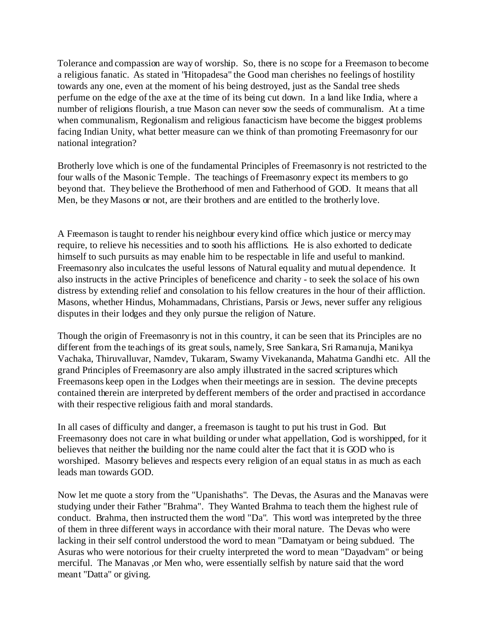Tolerance and compassion are way of worship. So, there is no scope for a Freemason to become a religious fanatic. As stated in "Hitopadesa" the Good man cherishes no feelings of hostility towards any one, even at the moment of his being destroyed, just as the Sandal tree sheds perfume on the edge of the axe at the time of its being cut down. In a land like India, where a number of religions flourish, a true Mason can never sow the seeds of communalism. At a time when communalism, Regionalism and religious fanacticism have become the biggest problems facing Indian Unity, what better measure can we think of than promoting Freemasonry for our national integration?

Brotherly love which is one of the fundamental Principles of Freemasonry is not restricted to the four walls of the Masonic Temple. The teachings of Freemasonry expect its members to go beyond that. They believe the Brotherhood of men and Fatherhood of GOD. It means that all Men, be they Masons or not, are their brothers and are entitled to the brotherly love.

A Freemason is taught to render his neighbour every kind office which justice or mercy may require, to relieve his necessities and to sooth his afflictions. He is also exhorted to dedicate himself to such pursuits as may enable him to be respectable in life and useful to mankind. Freemasonry also inculcates the useful lessons of Natural equality and mutual dependence. It also instructs in the active Principles of beneficence and charity - to seek the solace of his own distress by extending relief and consolation to his fellow creatures in the hour of their affliction. Masons, whether Hindus, Mohammadans, Christians, Parsis or Jews, never suffer any religious disputes in their lodges and they only pursue the religion of Nature.

Though the origin of Freemasonry is not in this country, it can be seen that its Principles are no different from the teachings of its great souls, namely, Sree Sankara, Sri Ramanuja, Manikya Vachaka, Thiruvalluvar, Namdev, Tukaram, Swamy Vivekananda, Mahatma Gandhi etc. All the grand Principles of Freemasonry are also amply illustrated in the sacred scriptures which Freemasons keep open in the Lodges when their meetings are in session. The devine precepts contained therein are interpreted by defferent members of the order and practised in accordance with their respective religious faith and moral standards.

In all cases of difficulty and danger, a freemason is taught to put his trust in God. But Freemasonry does not care in what building or under what appellation, God is worshipped, for it believes that neither the building nor the name could alter the fact that it is GOD who is worshiped. Masonry believes and respects every religion of an equal status in as much as each leads man towards GOD.

Now let me quote a story from the "Upanishaths". The Devas, the Asuras and the Manavas were studying under their Father "Brahma". They Wanted Brahma to teach them the highest rule of conduct. Brahma, then instructed them the word "Da". This word was interpreted by the three of them in three different ways in accordance with their moral nature. The Devas who were lacking in their self control understood the word to mean "Damatyam or being subdued. The Asuras who were notorious for their cruelty interpreted the word to mean "Dayadvam" or being merciful. The Manavas ,or Men who, were essentially selfish by nature said that the word meant "Datta" or giving.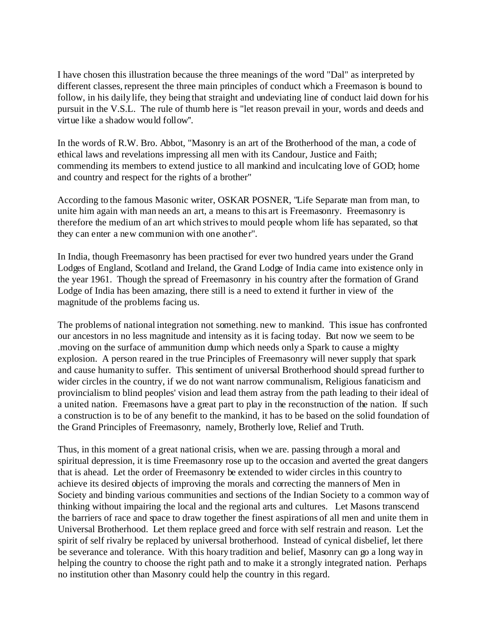I have chosen this illustration because the three meanings of the word "Dal" as interpreted by different classes, represent the three main principles of conduct which a Freemason is bound to follow, in his daily life, they being that straight and undeviating line of conduct laid down for his pursuit in the V.S.L. The rule of thumb here is "let reason prevail in your, words and deeds and virtue like a shadow would follow''.

In the words of R.W. Bro. Abbot, "Masonry is an art of the Brotherhood of the man, a code of ethical laws and revelations impressing all men with its Candour, Justice and Faith; commending its members to extend justice to all mankind and inculcating love of GOD; home and country and respect for the rights of a brother"

According to the famous Masonic writer, OSKAR POSNER, "Life Separate man from man, to unite him again with man needs an art, a means to this art is Freemasonry. Freemasonry is therefore the medium of an art which strives to mould people whom life has separated, so that they can enter a new communion with one another".

In India, though Freemasonry has been practised for ever two hundred years under the Grand Lodges of England, Scotland and Ireland, the Grand Lodge of India came into existence only in the year 1961. Though the spread of Freemasonry in his country after the formation of Grand Lodge of India has been amazing, there still is a need to extend it further in view of the magnitude of the problems facing us.

The problems of national integration not something. new to mankind. This issue has confronted our ancestors in no less magnitude and intensity as it is facing today. But now we seem to be .moving on the surface of ammunition dump which needs only a Spark to cause a mighty explosion. A person reared in the true Principles of Freemasonry will never supply that spark and cause humanity to suffer. This sentiment of universal Brotherhood should spread further to wider circles in the country, if we do not want narrow communalism, Religious fanaticism and provincialism to blind peoples' vision and lead them astray from the path leading to their ideal of a united nation. Freemasons have a great part to play in the reconstruction of the nation. If such a construction is to be of any benefit to the mankind, it has to be based on the solid foundation of the Grand Principles of Freemasonry, namely, Brotherly love, Relief and Truth.

Thus, in this moment of a great national crisis, when we are. passing through a moral and spiritual depression, it is time Freemasonry rose up to the occasion and averted the great dangers that is ahead. Let the order of Freemasonry be extended to wider circles in this country to achieve its desired objects of improving the morals and correcting the manners of Men in Society and binding various communities and sections of the Indian Society to a common way of thinking without impairing the local and the regional arts and cultures. Let Masons transcend the barriers of race and space to draw together the finest aspirations of all men and unite them in Universal Brotherhood. Let them replace greed and force with self restrain and reason. Let the spirit of self rivalry be replaced by universal brotherhood. Instead of cynical disbelief, let there be severance and tolerance. With this hoary tradition and belief, Masonry can go a long way in helping the country to choose the right path and to make it a strongly integrated nation. Perhaps no institution other than Masonry could help the country in this regard.